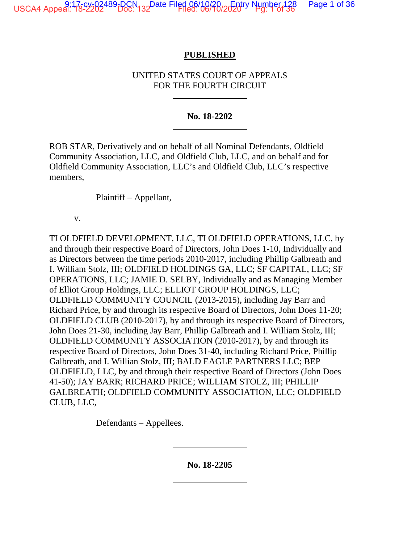USCA4 Appeal: 17<sub>3</sub>cy<sub>2</sub>02489-DCN<sub>132</sub>Date Filed 06/10/20, Entry Number 128 Page 1 of 36

### **PUBLISHED**

### UNITED STATES COURT OF APPEALS FOR THE FOURTH CIRCUIT

### **No. 18-2202**

ROB STAR, Derivatively and on behalf of all Nominal Defendants, Oldfield Community Association, LLC, and Oldfield Club, LLC, and on behalf and for Oldfield Community Association, LLC's and Oldfield Club, LLC's respective members,

Plaintiff – Appellant,

v.

TI OLDFIELD DEVELOPMENT, LLC, TI OLDFIELD OPERATIONS, LLC, by and through their respective Board of Directors, John Does 1-10, Individually and as Directors between the time periods 2010-2017, including Phillip Galbreath and I. William Stolz, III; OLDFIELD HOLDINGS GA, LLC; SF CAPITAL, LLC; SF OPERATIONS, LLC; JAMIE D. SELBY, Individually and as Managing Member of Elliot Group Holdings, LLC; ELLIOT GROUP HOLDINGS, LLC; OLDFIELD COMMUNITY COUNCIL (2013-2015), including Jay Barr and Richard Price, by and through its respective Board of Directors, John Does 11-20; OLDFIELD CLUB (2010-2017), by and through its respective Board of Directors, John Does 21-30, including Jay Barr, Phillip Galbreath and I. William Stolz, III; OLDFIELD COMMUNITY ASSOCIATION (2010-2017), by and through its respective Board of Directors, John Does 31-40, including Richard Price, Phillip Galbreath, and I. Willian Stolz, III; BALD EAGLE PARTNERS LLC; BEP OLDFIELD, LLC, by and through their respective Board of Directors (John Does 41-50); JAY BARR; RICHARD PRICE; WILLIAM STOLZ, III; PHILLIP GALBREATH; OLDFIELD COMMUNITY ASSOCIATION, LLC; OLDFIELD CLUB, LLC,

Defendants – Appellees.

**No. 18-2205**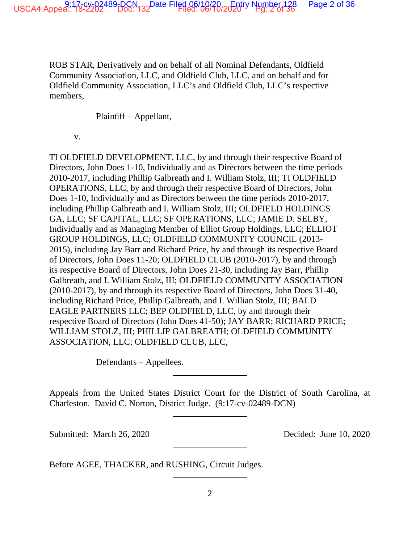ROB STAR, Derivatively and on behalf of all Nominal Defendants, Oldfield Community Association, LLC, and Oldfield Club, LLC, and on behalf and for Oldfield Community Association, LLC's and Oldfield Club, LLC's respective members,

Plaintiff – Appellant,

v.

TI OLDFIELD DEVELOPMENT, LLC, by and through their respective Board of Directors, John Does 1-10, Individually and as Directors between the time periods 2010-2017, including Phillip Galbreath and I. William Stolz, III; TI OLDFIELD OPERATIONS, LLC, by and through their respective Board of Directors, John Does 1-10, Individually and as Directors between the time periods 2010-2017, including Phillip Galbreath and I. William Stolz, III; OLDFIELD HOLDINGS GA, LLC; SF CAPITAL, LLC; SF OPERATIONS, LLC; JAMIE D. SELBY, Individually and as Managing Member of Elliot Group Holdings, LLC; ELLIOT GROUP HOLDINGS, LLC; OLDFIELD COMMUNITY COUNCIL (2013- 2015), including Jay Barr and Richard Price, by and through its respective Board of Directors, John Does 11-20; OLDFIELD CLUB (2010-2017), by and through its respective Board of Directors, John Does 21-30, including Jay Barr, Phillip Galbreath, and I. William Stolz, III; OLDFIELD COMMUNITY ASSOCIATION (2010-2017), by and through its respective Board of Directors, John Does 31-40, including Richard Price, Phillip Galbreath, and I. Willian Stolz, III; BALD EAGLE PARTNERS LLC; BEP OLDFIELD, LLC, by and through their respective Board of Directors (John Does 41-50); JAY BARR; RICHARD PRICE; WILLIAM STOLZ, III; PHILLIP GALBREATH; OLDFIELD COMMUNITY ASSOCIATION, LLC; OLDFIELD CLUB, LLC,

Defendants – Appellees.

Appeals from the United States District Court for the District of South Carolina, at Charleston. David C. Norton, District Judge. (9:17-cv-02489-DCN)

Submitted: March 26, 2020 Decided: June 10, 2020

Before AGEE, THACKER, and RUSHING, Circuit Judges.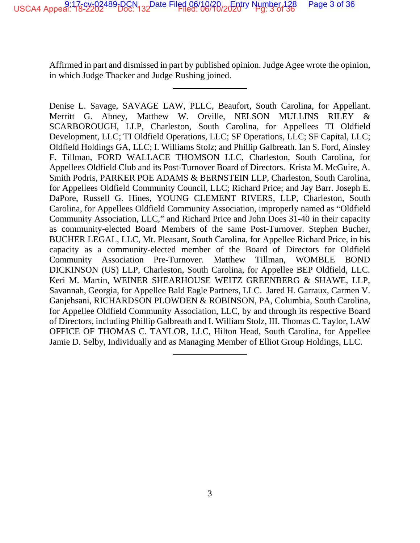Affirmed in part and dismissed in part by published opinion. Judge Agee wrote the opinion, in which Judge Thacker and Judge Rushing joined.

Denise L. Savage, SAVAGE LAW, PLLC, Beaufort, South Carolina, for Appellant. Merritt G. Abney, Matthew W. Orville, NELSON MULLINS RILEY & SCARBOROUGH, LLP, Charleston, South Carolina, for Appellees TI Oldfield Development, LLC; TI Oldfield Operations, LLC; SF Operations, LLC; SF Capital, LLC; Oldfield Holdings GA, LLC; I. Williams Stolz; and Phillip Galbreath. Ian S. Ford, Ainsley F. Tillman, FORD WALLACE THOMSON LLC, Charleston, South Carolina, for Appellees Oldfield Club and its Post-Turnover Board of Directors. Krista M. McGuire, A. Smith Podris, PARKER POE ADAMS & BERNSTEIN LLP, Charleston, South Carolina, for Appellees Oldfield Community Council, LLC; Richard Price; and Jay Barr. Joseph E. DaPore, Russell G. Hines, YOUNG CLEMENT RIVERS, LLP, Charleston, South Carolina, for Appellees Oldfield Community Association, improperly named as "Oldfield Community Association, LLC," and Richard Price and John Does 31-40 in their capacity as community-elected Board Members of the same Post-Turnover. Stephen Bucher, BUCHER LEGAL, LLC, Mt. Pleasant, South Carolina, for Appellee Richard Price, in his capacity as a community-elected member of the Board of Directors for Oldfield Community Association Pre-Turnover. Matthew Tillman, WOMBLE BOND DICKINSON (US) LLP, Charleston, South Carolina, for Appellee BEP Oldfield, LLC. Keri M. Martin, WEINER SHEARHOUSE WEITZ GREENBERG & SHAWE, LLP, Savannah, Georgia, for Appellee Bald Eagle Partners, LLC. Jared H. Garraux, Carmen V. Ganjehsani, RICHARDSON PLOWDEN & ROBINSON, PA, Columbia, South Carolina, for Appellee Oldfield Community Association, LLC, by and through its respective Board of Directors, including Phillip Galbreath and I. William Stolz, III. Thomas C. Taylor, LAW OFFICE OF THOMAS C. TAYLOR, LLC, Hilton Head, South Carolina, for Appellee Jamie D. Selby, Individually and as Managing Member of Elliot Group Holdings, LLC.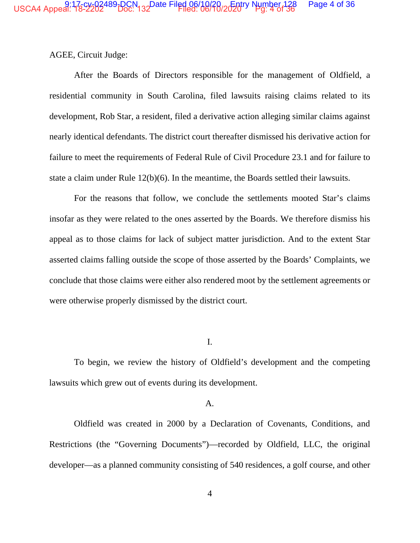AGEE, Circuit Judge:

After the Boards of Directors responsible for the management of Oldfield, a residential community in South Carolina, filed lawsuits raising claims related to its development, Rob Star, a resident, filed a derivative action alleging similar claims against nearly identical defendants. The district court thereafter dismissed his derivative action for failure to meet the requirements of Federal Rule of Civil Procedure 23.1 and for failure to state a claim under Rule 12(b)(6). In the meantime, the Boards settled their lawsuits.

For the reasons that follow, we conclude the settlements mooted Star's claims insofar as they were related to the ones asserted by the Boards. We therefore dismiss his appeal as to those claims for lack of subject matter jurisdiction. And to the extent Star asserted claims falling outside the scope of those asserted by the Boards' Complaints, we conclude that those claims were either also rendered moot by the settlement agreements or were otherwise properly dismissed by the district court.

I.

To begin, we review the history of Oldfield's development and the competing lawsuits which grew out of events during its development.

### A.

Oldfield was created in 2000 by a Declaration of Covenants, Conditions, and Restrictions (the "Governing Documents")—recorded by Oldfield, LLC, the original developer—as a planned community consisting of 540 residences, a golf course, and other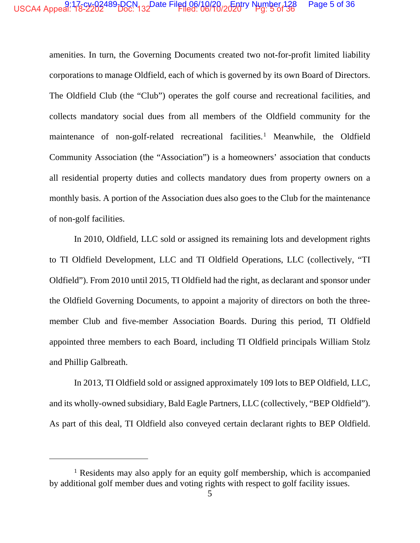#### USCA4 Appeal: 178-2202489-DCN<sub>132</sub>Date Filed 06/10/20-20try Number 128 Page 5 of 36

amenities. In turn, the Governing Documents created two not-for-profit limited liability corporations to manage Oldfield, each of which is governed by its own Board of Directors. The Oldfield Club (the "Club") operates the golf course and recreational facilities, and collects mandatory social dues from all members of the Oldfield community for the maintenance of non-golf-related recreational facilities.<sup>1</sup> Meanwhile, the Oldfield Community Association (the "Association") is a homeowners' association that conducts all residential property duties and collects mandatory dues from property owners on a monthly basis. A portion of the Association dues also goes to the Club for the maintenance of non-golf facilities.

In 2010, Oldfield, LLC sold or assigned its remaining lots and development rights to TI Oldfield Development, LLC and TI Oldfield Operations, LLC (collectively, "TI Oldfield"). From 2010 until 2015, TI Oldfield had the right, as declarant and sponsor under the Oldfield Governing Documents, to appoint a majority of directors on both the threemember Club and five-member Association Boards. During this period, TI Oldfield appointed three members to each Board, including TI Oldfield principals William Stolz and Phillip Galbreath.

In 2013, TI Oldfield sold or assigned approximately 109 lots to BEP Oldfield, LLC, and its wholly-owned subsidiary, Bald Eagle Partners, LLC (collectively, "BEP Oldfield"). As part of this deal, TI Oldfield also conveyed certain declarant rights to BEP Oldfield.

 $1$  Residents may also apply for an equity golf membership, which is accompanied by additional golf member dues and voting rights with respect to golf facility issues.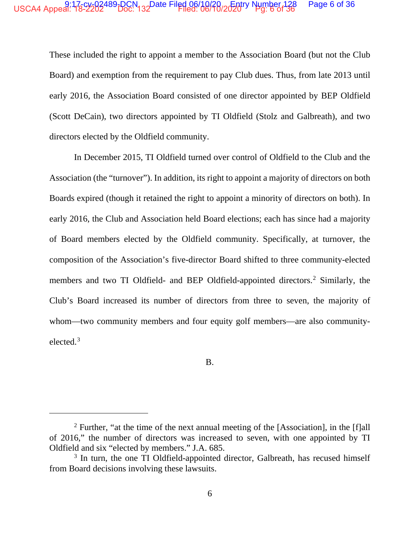# USCA4 Appeal: 175°2′262489-DCN 132Date Filed 06/10/26 *Entry* Number 128 Page 6 of 36

These included the right to appoint a member to the Association Board (but not the Club Board) and exemption from the requirement to pay Club dues. Thus, from late 2013 until early 2016, the Association Board consisted of one director appointed by BEP Oldfield (Scott DeCain), two directors appointed by TI Oldfield (Stolz and Galbreath), and two directors elected by the Oldfield community.

In December 2015, TI Oldfield turned over control of Oldfield to the Club and the Association (the "turnover"). In addition, its right to appoint a majority of directors on both Boards expired (though it retained the right to appoint a minority of directors on both). In early 2016, the Club and Association held Board elections; each has since had a majority of Board members elected by the Oldfield community. Specifically, at turnover, the composition of the Association's five-director Board shifted to three community-elected members and two TI Oldfield- and BEP Oldfield-appointed directors.<sup>2</sup> Similarly, the Club's Board increased its number of directors from three to seven, the majority of whom—two community members and four equity golf members—are also communityelected.<sup>3</sup>

B.

 $2$  Further, "at the time of the next annual meeting of the [Association], in the [f]all of 2016," the number of directors was increased to seven, with one appointed by TI Oldfield and six "elected by members." J.A. 685.

<sup>&</sup>lt;sup>3</sup> In turn, the one TI Oldfield-appointed director, Galbreath, has recused himself from Board decisions involving these lawsuits.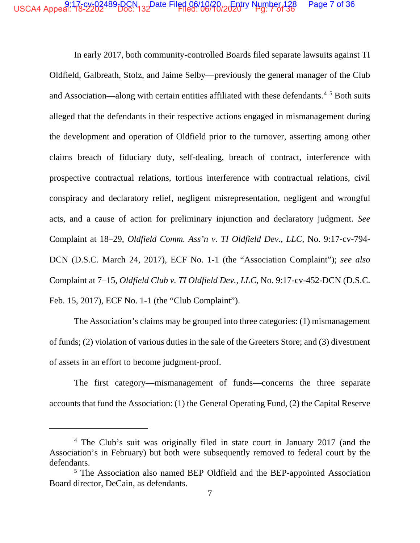#### USCA4 Appeal: 178-2202489-DCN 132Date Filed 06/10/20 20 20try Number 128 Page 7 of 36

In early 2017, both community-controlled Boards filed separate lawsuits against TI Oldfield, Galbreath, Stolz, and Jaime Selby—previously the general manager of the Club and Association—along with certain entities affiliated with these defendants.<sup>45</sup> Both suits alleged that the defendants in their respective actions engaged in mismanagement during the development and operation of Oldfield prior to the turnover, asserting among other claims breach of fiduciary duty, self-dealing, breach of contract, interference with prospective contractual relations, tortious interference with contractual relations, civil conspiracy and declaratory relief, negligent misrepresentation, negligent and wrongful acts, and a cause of action for preliminary injunction and declaratory judgment. See Complaint at 18–29, Oldfield Comm. Ass'n v. TI Oldfield Dev., LLC, No. 9:17-cv-794-DCN (D.S.C. March 24, 2017), ECF No. 1-1 (the "Association Complaint"); see also Complaint at 7-15, Oldfield Club v. TI Oldfield Dev., LLC, No. 9:17-cv-452-DCN (D.S.C. Feb. 15, 2017), ECF No. 1-1 (the "Club Complaint").

The Association's claims may be grouped into three categories: (1) mismanagement of funds; (2) violation of various duties in the sale of the Greeters Store; and (3) divestment of assets in an effort to become judgment-proof.

The first category—mismanagement of funds—concerns the three separate accounts that fund the Association: (1) the General Operating Fund, (2) the Capital Reserve

<sup>&</sup>lt;sup>4</sup> The Club's suit was originally filed in state court in January 2017 (and the Association's in February) but both were subsequently removed to federal court by the defendants.

<sup>&</sup>lt;sup>5</sup> The Association also named BEP Oldfield and the BEP-appointed Association Board director, DeCain, as defendants.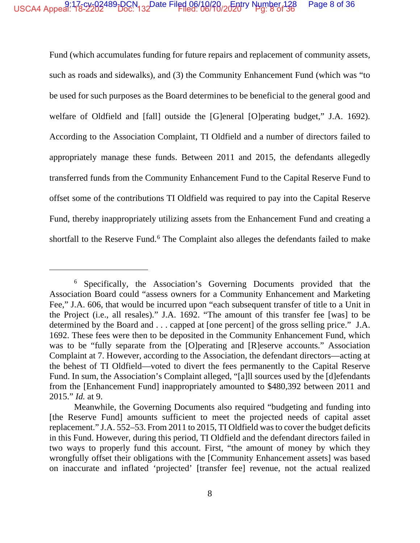Fund (which accumulates funding for future repairs and replacement of community assets, such as roads and sidewalks), and (3) the Community Enhancement Fund (which was "to be used for such purposes as the Board determines to be beneficial to the general good and welfare of Oldfield and [fall] outside the [G]eneral [O]perating budget," J.A. 1692). According to the Association Complaint, TI Oldfield and a number of directors failed to appropriately manage these funds. Between 2011 and 2015, the defendants allegedly transferred funds from the Community Enhancement Fund to the Capital Reserve Fund to offset some of the contributions TI Oldfield was required to pay into the Capital Reserve Fund, thereby inappropriately utilizing assets from the Enhancement Fund and creating a shortfall to the Reserve Fund.<sup>6</sup> The Complaint also alleges the defendants failed to make

<sup>6</sup> Specifically, the Association's Governing Documents provided that the Association Board could "assess owners for a Community Enhancement and Marketing Fee," J.A. 606, that would be incurred upon "each subsequent transfer of title to a Unit in the Project (i.e., all resales)." J.A. 1692. "The amount of this transfer fee [was] to be determined by the Board and . . . capped at [one percent] of the gross selling price." J.A. 1692. These fees were then to be deposited in the Community Enhancement Fund, which was to be "fully separate from the [O]perating and [R]eserve accounts." Association Complaint at 7. However, according to the Association, the defendant directors—acting at the behest of TI Oldfield—voted to divert the fees permanently to the Capital Reserve Fund. In sum, the Association's Complaint alleged, "[a]ll sources used by the [d]efendants from the [Enhancement Fund] inappropriately amounted to \$480,392 between 2011 and 2015." *Id.* at 9.

Meanwhile, the Governing Documents also required "budgeting and funding into [the Reserve Fund] amounts sufficient to meet the projected needs of capital asset replacement." J.A. 552–53. From 2011 to 2015, TI Oldfield was to cover the budget deficits in this Fund. However, during this period, TI Oldfield and the defendant directors failed in two ways to properly fund this account. First, "the amount of money by which they wrongfully offset their obligations with the [Community Enhancement assets] was based on inaccurate and inflated 'projected' [transfer fee] revenue, not the actual realized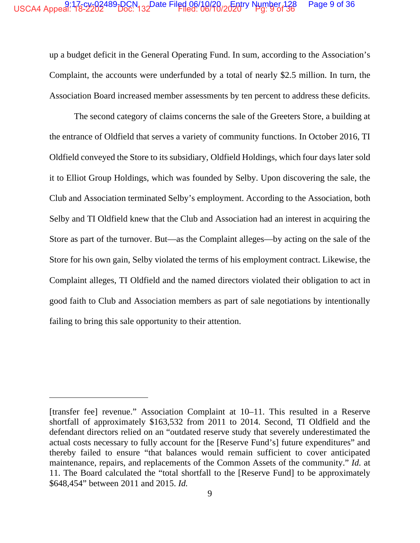#### USCA4 Appeal: 178-2202489-DCN 132Date Filed 06/10/20-20 Tytry Number 128 Page 9 of 36

up a budget deficit in the General Operating Fund. In sum, according to the Association's Complaint, the accounts were underfunded by a total of nearly \$2.5 million. In turn, the Association Board increased member assessments by ten percent to address these deficits.

The second category of claims concerns the sale of the Greeters Store, a building at the entrance of Oldfield that serves a variety of community functions. In October 2016, TI Oldfield conveyed the Store to its subsidiary, Oldfield Holdings, which four days later sold it to Elliot Group Holdings, which was founded by Selby. Upon discovering the sale, the Club and Association terminated Selby's employment. According to the Association, both Selby and TI Oldfield knew that the Club and Association had an interest in acquiring the Store as part of the turnover. But—as the Complaint alleges—by acting on the sale of the Store for his own gain, Selby violated the terms of his employment contract. Likewise, the Complaint alleges, TI Oldfield and the named directors violated their obligation to act in good faith to Club and Association members as part of sale negotiations by intentionally failing to bring this sale opportunity to their attention.

<sup>[</sup>transfer fee] revenue." Association Complaint at 10–11. This resulted in a Reserve shortfall of approximately \$163,532 from 2011 to 2014. Second, TI Oldfield and the defendant directors relied on an "outdated reserve study that severely underestimated the actual costs necessary to fully account for the [Reserve Fund's] future expenditures" and thereby failed to ensure "that balances would remain sufficient to cover anticipated maintenance, repairs, and replacements of the Common Assets of the community." Id. at 11. The Board calculated the "total shortfall to the [Reserve Fund] to be approximately \$648,454" between 2011 and 2015. Id.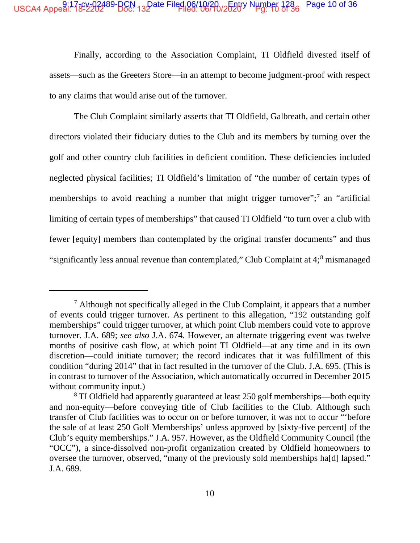### USCA4 Appeal: 17<sup>5</sup>°2202489-BCN 132 ate Filed 06/10/20 *Entry* Number 1786 Page 10 of 36

Finally, according to the Association Complaint, TI Oldfield divested itself of assets—such as the Greeters Store—in an attempt to become judgment-proof with respect to any claims that would arise out of the turnover.

The Club Complaint similarly asserts that TI Oldfield, Galbreath, and certain other directors violated their fiduciary duties to the Club and its members by turning over the golf and other country club facilities in deficient condition. These deficiencies included neglected physical facilities; TI Oldfield's limitation of "the number of certain types of memberships to avoid reaching a number that might trigger turnover";<sup>7</sup> an "artificial limiting of certain types of memberships" that caused TI Oldfield "to turn over a club with fewer [equity] members than contemplated by the original transfer documents" and thus "significantly less annual revenue than contemplated," Club Complaint at 4;<sup>8</sup> mismanaged

 $<sup>7</sup>$  Although not specifically alleged in the Club Complaint, it appears that a number</sup> of events could trigger turnover. As pertinent to this allegation, "192 outstanding golf memberships" could trigger turnover, at which point Club members could vote to approve turnover. J.A. 689; *see also* J.A. 674. However, an alternate triggering event was twelve months of positive cash flow, at which point TI Oldfield—at any time and in its own discretion—could initiate turnover; the record indicates that it was fulfillment of this condition "during 2014" that in fact resulted in the turnover of the Club. J.A. 695. (This is in contrast to turnover of the Association, which automatically occurred in December 2015 without community input.)

<sup>8</sup> TI Oldfield had apparently guaranteed at least 250 golf memberships—both equity and non-equity—before conveying title of Club facilities to the Club. Although such transfer of Club facilities was to occur on or before turnover, it was not to occur "'before the sale of at least 250 Golf Memberships' unless approved by [sixty-five percent] of the Club's equity memberships." J.A. 957. However, as the Oldfield Community Council (the "OCC"), a since-dissolved non-profit organization created by Oldfield homeowners to oversee the turnover, observed, "many of the previously sold memberships ha[d] lapsed." J.A. 689.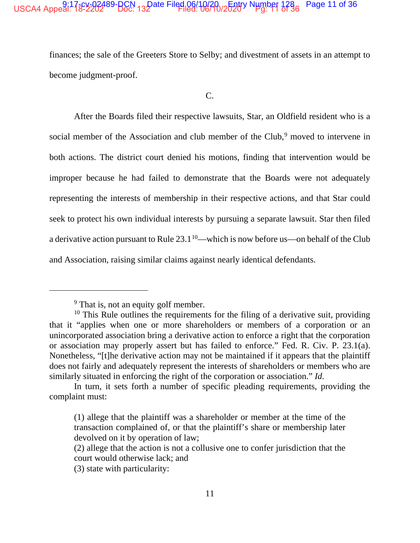# USCA4 Appeal: 132-202489-BCN 132 ate Filed 06/10/20 /2520 N Number 1286 Page 11 of 36

finances; the sale of the Greeters Store to Selby; and divestment of assets in an attempt to become judgment-proof.

 $C_{\cdot}$ 

After the Boards filed their respective lawsuits, Star, an Oldfield resident who is a social member of the Association and club member of the Club,<sup>9</sup> moved to intervene in both actions. The district court denied his motions, finding that intervention would be improper because he had failed to demonstrate that the Boards were not adequately representing the interests of membership in their respective actions, and that Star could seek to protect his own individual interests by pursuing a separate lawsuit. Star then filed a derivative action pursuant to Rule  $23.1^{10}$ —which is now before us—on behalf of the Club and Association, raising similar claims against nearly identical defendants.

<sup>&</sup>lt;sup>9</sup> That is, not an equity golf member.

 $10$  This Rule outlines the requirements for the filing of a derivative suit, providing that it "applies when one or more shareholders or members of a corporation or an unincorporated association bring a derivative action to enforce a right that the corporation or association may properly assert but has failed to enforce." Fed. R. Civ. P. 23.1(a). Nonetheless, "[t] he derivative action may not be maintained if it appears that the plaintiff does not fairly and adequately represent the interests of shareholders or members who are similarly situated in enforcing the right of the corporation or association." Id.

In turn, it sets forth a number of specific pleading requirements, providing the complaint must:

<sup>(1)</sup> allege that the plaintiff was a shareholder or member at the time of the transaction complained of, or that the plaintiff's share or membership later devolved on it by operation of law;

<sup>(2)</sup> allege that the action is not a collusive one to confer jurisdiction that the court would otherwise lack; and

<sup>(3)</sup> state with particularity: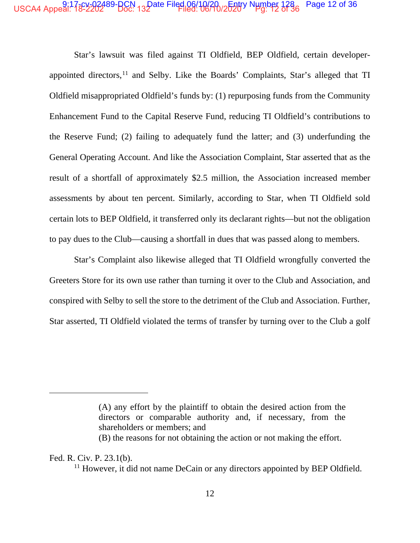# USCA4 Appeal: 17<sup>8</sup>°2202489-BCN 132ate Filed 06/10/20 /2520 N Hmber 1236 Page 12 of 36

Star's lawsuit was filed against TI Oldfield, BEP Oldfield, certain developerappointed directors,<sup>11</sup> and Selby. Like the Boards' Complaints, Star's alleged that TI Oldfield misappropriated Oldfield's funds by: (1) repurposing funds from the Community Enhancement Fund to the Capital Reserve Fund, reducing TI Oldfield's contributions to the Reserve Fund; (2) failing to adequately fund the latter; and (3) underfunding the General Operating Account. And like the Association Complaint, Star asserted that as the result of a shortfall of approximately \$2.5 million, the Association increased member assessments by about ten percent. Similarly, according to Star, when TI Oldfield sold certain lots to BEP Oldfield, it transferred only its declarant rights—but not the obligation to pay dues to the Club—causing a shortfall in dues that was passed along to members.

Star's Complaint also likewise alleged that TI Oldfield wrongfully converted the Greeters Store for its own use rather than turning it over to the Club and Association, and conspired with Selby to sell the store to the detriment of the Club and Association. Further, Star asserted, TI Oldfield violated the terms of transfer by turning over to the Club a golf

Fed. R. Civ. P. 23.1(b).

<sup>(</sup>A) any effort by the plaintiff to obtain the desired action from the directors or comparable authority and, if necessary, from the shareholders or members; and

<sup>(</sup>B) the reasons for not obtaining the action or not making the effort.

<sup>&</sup>lt;sup>11</sup> However, it did not name DeCain or any directors appointed by BEP Oldfield.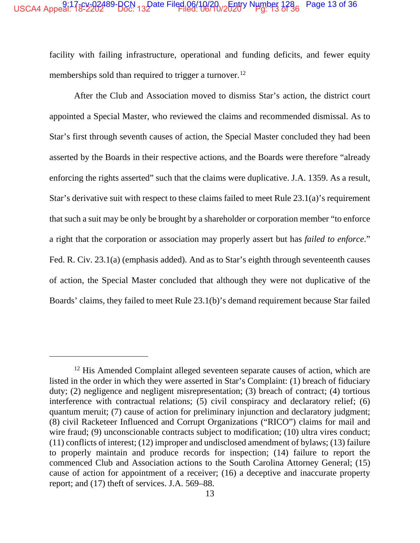# USCA4 Appeal: 17<sup>8</sup>°2202489-BCN 132ate Filed 06/10/20 /2520° Number 128 Page 13 of 36

facility with failing infrastructure, operational and funding deficits, and fewer equity memberships sold than required to trigger a turnover.<sup>12</sup>

After the Club and Association moved to dismiss Star's action, the district court appointed a Special Master, who reviewed the claims and recommended dismissal. As to Star's first through seventh causes of action, the Special Master concluded they had been asserted by the Boards in their respective actions, and the Boards were therefore "already enforcing the rights asserted" such that the claims were duplicative. J.A. 1359. As a result, Star's derivative suit with respect to these claims failed to meet Rule 23.1(a)'s requirement that such a suit may be only be brought by a shareholder or corporation member "to enforce a right that the corporation or association may properly assert but has *failed to enforce*." Fed. R. Civ. 23.1(a) (emphasis added). And as to Star's eighth through seventeenth causes of action, the Special Master concluded that although they were not duplicative of the Boards' claims, they failed to meet Rule 23.1(b)'s demand requirement because Star failed

<sup>&</sup>lt;sup>12</sup> His Amended Complaint alleged seventeen separate causes of action, which are listed in the order in which they were asserted in Star's Complaint: (1) breach of fiduciary duty; (2) negligence and negligent misrepresentation; (3) breach of contract; (4) tortious interference with contractual relations; (5) civil conspiracy and declaratory relief; (6) quantum meruit; (7) cause of action for preliminary injunction and declaratory judgment; (8) civil Racketeer Influenced and Corrupt Organizations ("RICO") claims for mail and wire fraud; (9) unconscionable contracts subject to modification; (10) ultra vires conduct; (11) conflicts of interest; (12) improper and undisclosed amendment of bylaws; (13) failure to properly maintain and produce records for inspection; (14) failure to report the commenced Club and Association actions to the South Carolina Attorney General; (15) cause of action for appointment of a receiver; (16) a deceptive and inaccurate property report; and (17) theft of services. J.A. 569–88.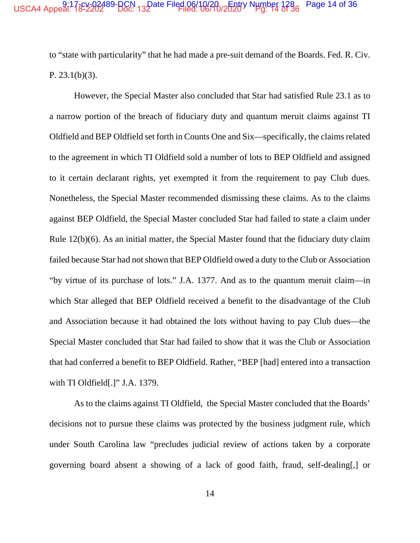### USCA4 Appeal: 17<sup>8</sup>°2202489-BCN 132ate Filed 06/10/20 /2520 N Hmber 1286 Page 14 of 36

to "state with particularity" that he had made a pre-suit demand of the Boards. Fed. R. Civ. P. 23.1(b)(3).

However, the Special Master also concluded that Star had satisfied Rule 23.1 as to a narrow portion of the breach of fiduciary duty and quantum meruit claims against TI Oldfield and BEP Oldfield set forth in Counts One and Six—specifically, the claims related to the agreement in which TI Oldfield sold a number of lots to BEP Oldfield and assigned to it certain declarant rights, yet exempted it from the requirement to pay Club dues. Nonetheless, the Special Master recommended dismissing these claims. As to the claims against BEP Oldfield, the Special Master concluded Star had failed to state a claim under Rule 12(b)(6). As an initial matter, the Special Master found that the fiduciary duty claim failed because Star had not shown that BEP Oldfield owed a duty to the Club or Association "by virtue of its purchase of lots." J.A. 1377. And as to the quantum meruit claim—in which Star alleged that BEP Oldfield received a benefit to the disadvantage of the Club and Association because it had obtained the lots without having to pay Club dues—the Special Master concluded that Star had failed to show that it was the Club or Association that had conferred a benefit to BEP Oldfield. Rather, "BEP [had] entered into a transaction with TI Oldfield<sup>[.]"</sup> J.A. 1379.

As to the claims against TI Oldfield, the Special Master concluded that the Boards' decisions not to pursue these claims was protected by the business judgment rule, which under South Carolina law "precludes judicial review of actions taken by a corporate governing board absent a showing of a lack of good faith, fraud, self-dealing[,] or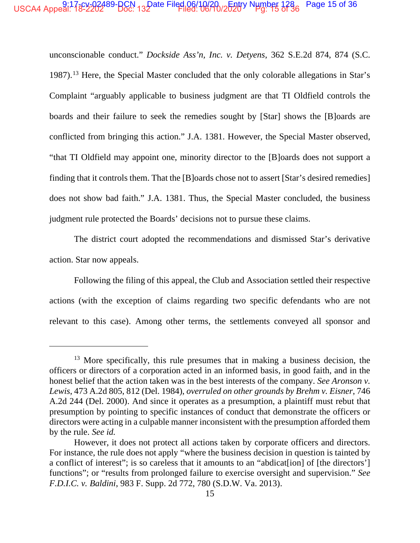# USCA4 Appeal: 17<sup>8</sup>°2202489-BCN 132 ate Filed 06/10/20 /2520° Number 128 Page 15 of 36

unconscionable conduct." *Dockside Ass'n, Inc. v. Detyens*, 362 S.E.2d 874, 874 (S.C. 1987).<sup>13</sup> Here, the Special Master concluded that the only colorable allegations in Star's Complaint "arguably applicable to business judgment are that TI Oldfield controls the boards and their failure to seek the remedies sought by [Star] shows the [B]oards are conflicted from bringing this action." J.A. 1381. However, the Special Master observed, "that TI Oldfield may appoint one, minority director to the [B]oards does not support a finding that it controls them. That the [B]oards chose not to assert [Star's desired remedies] does not show bad faith." J.A. 1381. Thus, the Special Master concluded, the business judgment rule protected the Boards' decisions not to pursue these claims.

The district court adopted the recommendations and dismissed Star's derivative action. Star now appeals.

Following the filing of this appeal, the Club and Association settled their respective actions (with the exception of claims regarding two specific defendants who are not relevant to this case). Among other terms, the settlements conveyed all sponsor and

 $13$  More specifically, this rule presumes that in making a business decision, the officers or directors of a corporation acted in an informed basis, in good faith, and in the honest belief that the action taken was in the best interests of the company. *See Aronson v. Lewis*, 473 A.2d 805, 812 (Del. 1984), *overruled on other grounds by Brehm v. Eisner*, 746 A.2d 244 (Del. 2000). And since it operates as a presumption, a plaintiff must rebut that presumption by pointing to specific instances of conduct that demonstrate the officers or directors were acting in a culpable manner inconsistent with the presumption afforded them by the rule. *See id.*

However, it does not protect all actions taken by corporate officers and directors. For instance, the rule does not apply "where the business decision in question is tainted by a conflict of interest"; is so careless that it amounts to an "abdicat[ion] of [the directors'] functions"; or "results from prolonged failure to exercise oversight and supervision." *See F.D.I.C. v. Baldini*, 983 F. Supp. 2d 772, 780 (S.D.W. Va. 2013).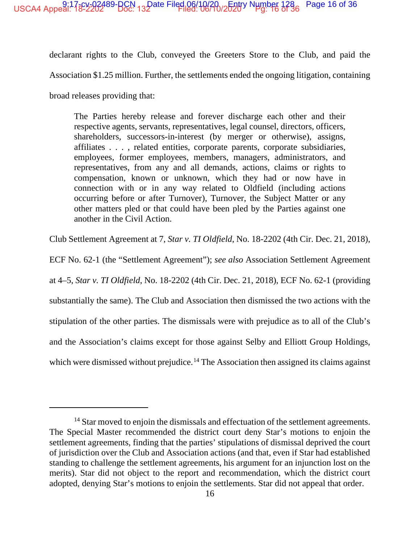declarant rights to the Club, conveyed the Greeters Store to the Club, and paid the Association \$1.25 million. Further, the settlements ended the ongoing litigation, containing broad releases providing that:

The Parties hereby release and forever discharge each other and their respective agents, servants, representatives, legal counsel, directors, officers, shareholders, successors-in-interest (by merger or otherwise), assigns, affiliates . . . , related entities, corporate parents, corporate subsidiaries, employees, former employees, members, managers, administrators, and representatives, from any and all demands, actions, claims or rights to compensation, known or unknown, which they had or now have in connection with or in any way related to Oldfield (including actions occurring before or after Turnover), Turnover, the Subject Matter or any other matters pled or that could have been pled by the Parties against one another in the Civil Action.

Club Settlement Agreement at 7, *Star v. TI Oldfield*, No. 18-2202 (4th Cir. Dec. 21, 2018),

ECF No. 62-1 (the "Settlement Agreement"); *see also* Association Settlement Agreement

at 4–5, *Star v. TI Oldfield*, No. 18-2202 (4th Cir. Dec. 21, 2018), ECF No. 62-1 (providing

substantially the same). The Club and Association then dismissed the two actions with the

stipulation of the other parties. The dismissals were with prejudice as to all of the Club's

and the Association's claims except for those against Selby and Elliott Group Holdings,

which were dismissed without prejudice.<sup>14</sup> The Association then assigned its claims against

<sup>&</sup>lt;sup>14</sup> Star moved to enjoin the dismissals and effectuation of the settlement agreements. The Special Master recommended the district court deny Star's motions to enjoin the settlement agreements, finding that the parties' stipulations of dismissal deprived the court of jurisdiction over the Club and Association actions (and that, even if Star had established standing to challenge the settlement agreements, his argument for an injunction lost on the merits). Star did not object to the report and recommendation, which the district court adopted, denying Star's motions to enjoin the settlements. Star did not appeal that order.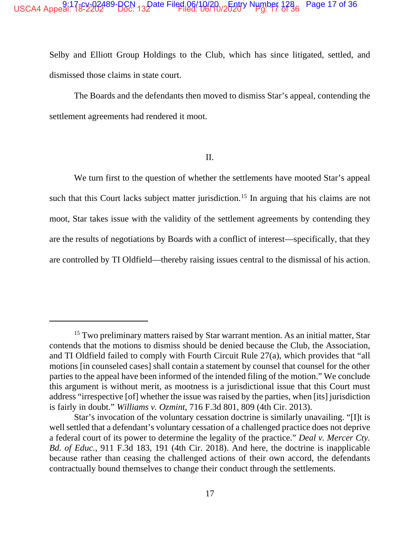#### USCA4 Appeal: 13-2-2-2-2-2-89-BCN 13-Date Filed 06/10/20 2520 N Number 1286 Page 17 of 36

Selby and Elliott Group Holdings to the Club, which has since litigated, settled, and dismissed those claims in state court.

The Boards and the defendants then moved to dismiss Star's appeal, contending the settlement agreements had rendered it moot.

II.

We turn first to the question of whether the settlements have mooted Star's appeal such that this Court lacks subject matter jurisdiction.<sup>15</sup> In arguing that his claims are not moot. Star takes issue with the validity of the settlement agreements by contending they are the results of negotiations by Boards with a conflict of interest—specifically, that they are controlled by TI Oldfield—thereby raising issues central to the dismissal of his action.

<sup>&</sup>lt;sup>15</sup> Two preliminary matters raised by Star warrant mention. As an initial matter, Star contends that the motions to dismiss should be denied because the Club, the Association, and TI Oldfield failed to comply with Fourth Circuit Rule 27(a), which provides that "all motions [in counseled cases] shall contain a statement by counsel that counsel for the other parties to the appeal have been informed of the intended filing of the motion." We conclude this argument is without merit, as mootness is a jurisdictional issue that this Court must address "irrespective [of] whether the issue was raised by the parties, when [its] jurisdiction is fairly in doubt." Williams v. Ozmint, 716 F.3d 801, 809 (4th Cir. 2013).

Star's invocation of the voluntary cessation doctrine is similarly unavailing. "[I]t is well settled that a defendant's voluntary cessation of a challenged practice does not deprive a federal court of its power to determine the legality of the practice." Deal v. Mercer Cty. Bd. of Educ., 911 F.3d 183, 191 (4th Cir. 2018). And here, the doctrine is inapplicable because rather than ceasing the challenged actions of their own accord, the defendants contractually bound themselves to change their conduct through the settlements.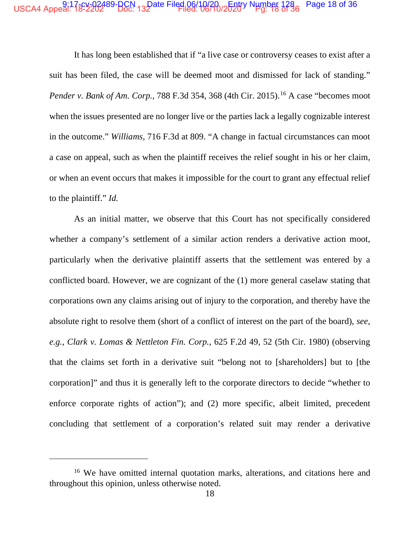## USCA4 Appeal: 17<sup>8</sup>°2202489-BCN 132ate Filed 06/10/20 /2520° Number 128 Fage 18 of 36

It has long been established that if "a live case or controversy ceases to exist after a suit has been filed, the case will be deemed moot and dismissed for lack of standing." *Pender v. Bank of Am. Corp.*, 788 F.3d 354, 368 (4th Cir. 2015).<sup>16</sup> A case "becomes moot when the issues presented are no longer live or the parties lack a legally cognizable interest in the outcome." *Williams,* 716 F.3d at 809. "A change in factual circumstances can moot a case on appeal, such as when the plaintiff receives the relief sought in his or her claim, or when an event occurs that makes it impossible for the court to grant any effectual relief to the plaintiff." *Id.*

As an initial matter, we observe that this Court has not specifically considered whether a company's settlement of a similar action renders a derivative action moot, particularly when the derivative plaintiff asserts that the settlement was entered by a conflicted board. However, we are cognizant of the (1) more general caselaw stating that corporations own any claims arising out of injury to the corporation, and thereby have the absolute right to resolve them (short of a conflict of interest on the part of the board), *see, e.g.*, *Clark v. Lomas & Nettleton Fin. Corp.*, 625 F.2d 49, 52 (5th Cir. 1980) (observing that the claims set forth in a derivative suit "belong not to [shareholders] but to [the corporation]" and thus it is generally left to the corporate directors to decide "whether to enforce corporate rights of action"); and (2) more specific, albeit limited, precedent concluding that settlement of a corporation's related suit may render a derivative

<sup>&</sup>lt;sup>16</sup> We have omitted internal quotation marks, alterations, and citations here and throughout this opinion, unless otherwise noted.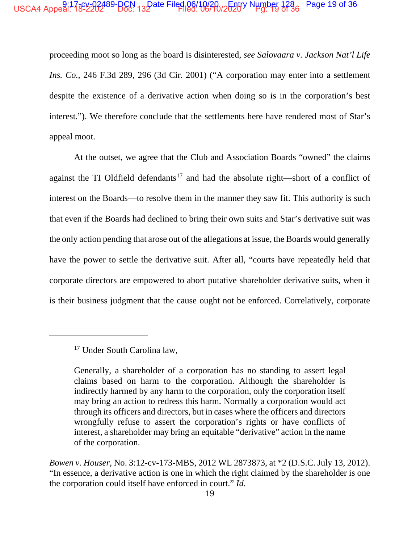#### USCA4 Appeal: 18-2202489-BCN 132 ate Filed 06/10/20-2520V Number 1286 Page 19 of 36

proceeding moot so long as the board is disinterested, see Salovaara v. Jackson Nat'l Life Ins. Co., 246 F.3d 289, 296 (3d Cir. 2001) ("A corporation may enter into a settlement despite the existence of a derivative action when doing so is in the corporation's best interest."). We therefore conclude that the settlements here have rendered most of Star's appeal moot.

At the outset, we agree that the Club and Association Boards "owned" the claims against the TI Oldfield defendants<sup>17</sup> and had the absolute right—short of a conflict of interest on the Boards—to resolve them in the manner they saw fit. This authority is such that even if the Boards had declined to bring their own suits and Star's derivative suit was the only action pending that arose out of the allegations at issue, the Boards would generally have the power to settle the derivative suit. After all, "courts have repeatedly held that corporate directors are empowered to abort putative shareholder derivative suits, when it is their business judgment that the cause ought not be enforced. Correlatively, corporate

<sup>&</sup>lt;sup>17</sup> Under South Carolina law,

Generally, a shareholder of a corporation has no standing to assert legal claims based on harm to the corporation. Although the shareholder is indirectly harmed by any harm to the corporation, only the corporation itself may bring an action to redress this harm. Normally a corporation would act through its officers and directors, but in cases where the officers and directors wrongfully refuse to assert the corporation's rights or have conflicts of interest, a shareholder may bring an equitable "derivative" action in the name of the corporation.

Bowen v. Houser, No. 3:12-cv-173-MBS, 2012 WL 2873873, at \*2 (D.S.C. July 13, 2012). "In essence, a derivative action is one in which the right claimed by the shareholder is one the corporation could itself have enforced in court." Id.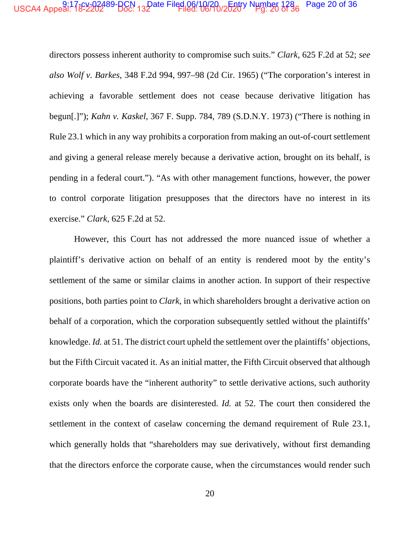### USCA4 Appeal: 17<sup>8</sup>°2202489-BCN 132ate Filed 06/10/20<sub>0</sub>620<sup>1</sup> Number 1286 Page 20 of 36

directors possess inherent authority to compromise such suits." *Clark*, 625 F.2d at 52; *see also Wolf v. Barkes*, 348 F.2d 994, 997–98 (2d Cir. 1965) ("The corporation's interest in achieving a favorable settlement does not cease because derivative litigation has begun[.]"); *Kahn v. Kaskel*, 367 F. Supp. 784, 789 (S.D.N.Y. 1973) ("There is nothing in Rule 23.1 which in any way prohibits a corporation from making an out-of-court settlement and giving a general release merely because a derivative action, brought on its behalf, is pending in a federal court."). "As with other management functions, however, the power to control corporate litigation presupposes that the directors have no interest in its exercise." *Clark*, 625 F.2d at 52.

However, this Court has not addressed the more nuanced issue of whether a plaintiff's derivative action on behalf of an entity is rendered moot by the entity's settlement of the same or similar claims in another action. In support of their respective positions, both parties point to *Clark*, in which shareholders brought a derivative action on behalf of a corporation, which the corporation subsequently settled without the plaintiffs' knowledge. *Id.* at 51. The district court upheld the settlement over the plaintiffs' objections, but the Fifth Circuit vacated it. As an initial matter, the Fifth Circuit observed that although corporate boards have the "inherent authority" to settle derivative actions, such authority exists only when the boards are disinterested. *Id.* at 52. The court then considered the settlement in the context of caselaw concerning the demand requirement of Rule 23.1, which generally holds that "shareholders may sue derivatively, without first demanding that the directors enforce the corporate cause, when the circumstances would render such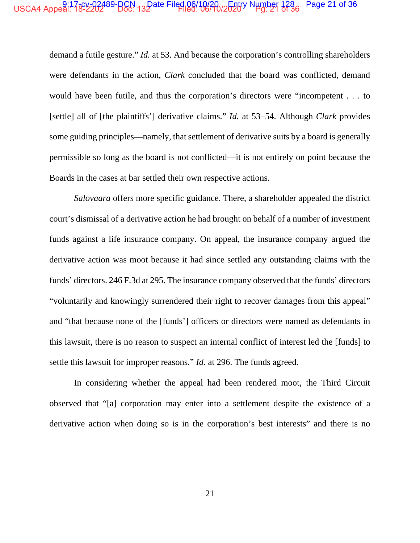## USCA4 Appeal: 17<sup>8</sup>°2202489-BCN 132ate Filed 06/10/20 /2520 N Hmber 128 Page 21 of 36

demand a futile gesture." *Id.* at 53. And because the corporation's controlling shareholders were defendants in the action, *Clark* concluded that the board was conflicted, demand would have been futile, and thus the corporation's directors were "incompetent . . . to [settle] all of [the plaintiffs'] derivative claims." *Id.* at 53–54. Although *Clark* provides some guiding principles—namely, that settlement of derivative suits by a board is generally permissible so long as the board is not conflicted—it is not entirely on point because the Boards in the cases at bar settled their own respective actions.

*Salovaara* offers more specific guidance. There, a shareholder appealed the district court's dismissal of a derivative action he had brought on behalf of a number of investment funds against a life insurance company. On appeal, the insurance company argued the derivative action was moot because it had since settled any outstanding claims with the funds' directors. 246 F.3d at 295. The insurance company observed that the funds' directors "voluntarily and knowingly surrendered their right to recover damages from this appeal" and "that because none of the [funds'] officers or directors were named as defendants in this lawsuit, there is no reason to suspect an internal conflict of interest led the [funds] to settle this lawsuit for improper reasons." *Id.* at 296. The funds agreed.

In considering whether the appeal had been rendered moot, the Third Circuit observed that "[a] corporation may enter into a settlement despite the existence of a derivative action when doing so is in the corporation's best interests" and there is no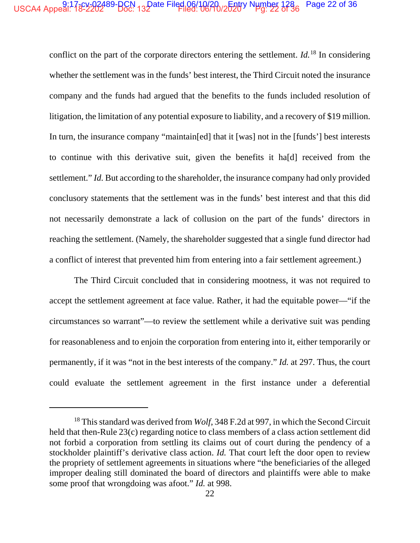#### USCA4 Appeal: 132202489-BCN 132 ate Filed 06/10/20 /25207 Number 1286 Page 22 of 36

conflict on the part of the corporate directors entering the settlement.  $Id.$ <sup>18</sup> In considering whether the settlement was in the funds' best interest, the Third Circuit noted the insurance company and the funds had argued that the benefits to the funds included resolution of litigation, the limitation of any potential exposure to liability, and a recovery of \$19 million. In turn, the insurance company "maintain[ed] that it [was] not in the [funds'] best interests to continue with this derivative suit, given the benefits it hald received from the settlement." *Id.* But according to the shareholder, the insurance company had only provided conclusory statements that the settlement was in the funds' best interest and that this did not necessarily demonstrate a lack of collusion on the part of the funds' directors in reaching the settlement. (Namely, the shareholder suggested that a single fund director had a conflict of interest that prevented him from entering into a fair settlement agreement.)

The Third Circuit concluded that in considering mootness, it was not required to accept the settlement agreement at face value. Rather, it had the equitable power—"if the circumstances so warrant"—to review the settlement while a derivative suit was pending for reasonableness and to enjoin the corporation from entering into it, either temporarily or permanently, if it was "not in the best interests of the company." *Id.* at 297. Thus, the court could evaluate the settlement agreement in the first instance under a deferential

 $18$  This standard was derived from *Wolf*, 348 F.2d at 997, in which the Second Circuit held that then-Rule 23(c) regarding notice to class members of a class action settlement did not forbid a corporation from settling its claims out of court during the pendency of a stockholder plaintiff's derivative class action. *Id*. That court left the door open to review the propriety of settlement agreements in situations where "the beneficiaries of the alleged improper dealing still dominated the board of directors and plaintiffs were able to make some proof that wrongdoing was afoot." *Id.* at 998.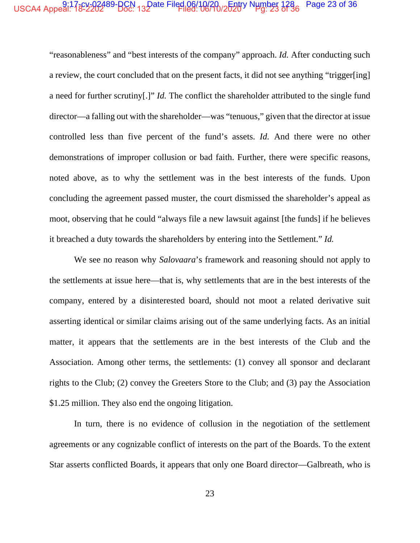### USCA4 Appeal: 17<sup>8</sup>°2202489-BCN 132ate Filed 06/10/20 /252dy Number 128 Page 23 of 36

"reasonableness" and "best interests of the company" approach. *Id.* After conducting such a review, the court concluded that on the present facts, it did not see anything "trigger[ing] a need for further scrutiny[.]" *Id.* The conflict the shareholder attributed to the single fund director—a falling out with the shareholder—was "tenuous," given that the director at issue controlled less than five percent of the fund's assets. *Id.* And there were no other demonstrations of improper collusion or bad faith. Further, there were specific reasons, noted above, as to why the settlement was in the best interests of the funds. Upon concluding the agreement passed muster, the court dismissed the shareholder's appeal as moot, observing that he could "always file a new lawsuit against [the funds] if he believes it breached a duty towards the shareholders by entering into the Settlement." *Id.*

We see no reason why *Salovaara*'s framework and reasoning should not apply to the settlements at issue here—that is, why settlements that are in the best interests of the company, entered by a disinterested board, should not moot a related derivative suit asserting identical or similar claims arising out of the same underlying facts. As an initial matter, it appears that the settlements are in the best interests of the Club and the Association. Among other terms, the settlements: (1) convey all sponsor and declarant rights to the Club; (2) convey the Greeters Store to the Club; and (3) pay the Association \$1.25 million. They also end the ongoing litigation.

In turn, there is no evidence of collusion in the negotiation of the settlement agreements or any cognizable conflict of interests on the part of the Boards. To the extent Star asserts conflicted Boards, it appears that only one Board director—Galbreath, who is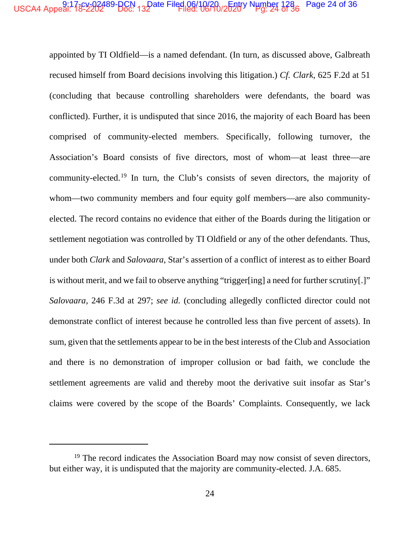# USCA4 Appeal: 17<sup>8</sup>°2202489-BCN 132ate Filed 06/10/20 /262dy Number 1286 Page 24 of 36

appointed by TI Oldfield—is a named defendant. (In turn, as discussed above, Galbreath recused himself from Board decisions involving this litigation.) *Cf. Clark*, 625 F.2d at 51 (concluding that because controlling shareholders were defendants, the board was conflicted). Further, it is undisputed that since 2016, the majority of each Board has been comprised of community-elected members. Specifically, following turnover, the Association's Board consists of five directors, most of whom—at least three—are community-elected.<sup>19</sup> In turn, the Club's consists of seven directors, the majority of whom—two community members and four equity golf members—are also communityelected. The record contains no evidence that either of the Boards during the litigation or settlement negotiation was controlled by TI Oldfield or any of the other defendants. Thus, under both *Clark* and *Salovaara*, Star's assertion of a conflict of interest as to either Board is without merit, and we fail to observe anything "trigger[ing] a need for further scrutiny[.]" *Salovaara*, 246 F.3d at 297; *see id.* (concluding allegedly conflicted director could not demonstrate conflict of interest because he controlled less than five percent of assets). In sum, given that the settlements appear to be in the best interests of the Club and Association and there is no demonstration of improper collusion or bad faith, we conclude the settlement agreements are valid and thereby moot the derivative suit insofar as Star's claims were covered by the scope of the Boards' Complaints. Consequently, we lack

 $19$  The record indicates the Association Board may now consist of seven directors, but either way, it is undisputed that the majority are community-elected. J.A. 685.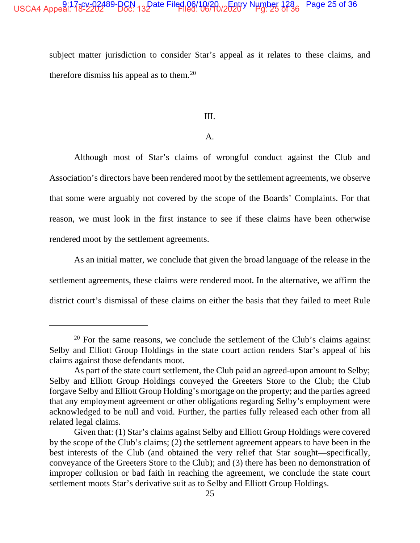#### USCA4 Appeal: 132202489-BCN 132 ate Filed 06/10/20 /2520 N Number 1286 Page 25 of 36

subject matter jurisdiction to consider Star's appeal as it relates to these claims, and therefore dismiss his appeal as to them.<sup>20</sup>

III.

### $A<sub>1</sub>$

Although most of Star's claims of wrongful conduct against the Club and Association's directors have been rendered moot by the settlement agreements, we observe that some were arguably not covered by the scope of the Boards' Complaints. For that reason, we must look in the first instance to see if these claims have been otherwise rendered moot by the settlement agreements.

As an initial matter, we conclude that given the broad language of the release in the settlement agreements, these claims were rendered moot. In the alternative, we affirm the district court's dismissal of these claims on either the basis that they failed to meet Rule

<sup>&</sup>lt;sup>20</sup> For the same reasons, we conclude the settlement of the Club's claims against Selby and Elliott Group Holdings in the state court action renders Star's appeal of his claims against those defendants moot.

As part of the state court settlement, the Club paid an agreed-upon amount to Selby; Selby and Elliott Group Holdings conveyed the Greeters Store to the Club; the Club forgave Selby and Elliott Group Holding's mortgage on the property; and the parties agreed that any employment agreement or other obligations regarding Selby's employment were acknowledged to be null and void. Further, the parties fully released each other from all related legal claims.

Given that: (1) Star's claims against Selby and Elliott Group Holdings were covered by the scope of the Club's claims; (2) the settlement agreement appears to have been in the best interests of the Club (and obtained the very relief that Star sought—specifically, conveyance of the Greeters Store to the Club); and (3) there has been no demonstration of improper collusion or bad faith in reaching the agreement, we conclude the state court settlement moots Star's derivative suit as to Selby and Elliott Group Holdings.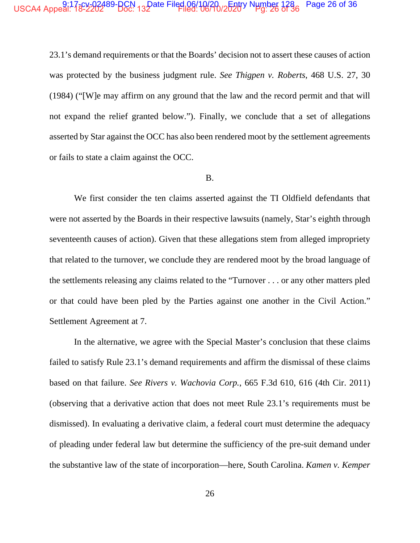### USCA4 Appeal: 17<sup>8</sup>°2202489-BCN 132ate Filed 06/10/20 /2620 Number 1286 Page 26 of 36

23.1's demand requirements or that the Boards' decision not to assert these causes of action was protected by the business judgment rule. *See Thigpen v. Roberts*, 468 U.S. 27, 30 (1984) ("[W]e may affirm on any ground that the law and the record permit and that will not expand the relief granted below."). Finally, we conclude that a set of allegations asserted by Star against the OCC has also been rendered moot by the settlement agreements or fails to state a claim against the OCC.

### B.

We first consider the ten claims asserted against the TI Oldfield defendants that were not asserted by the Boards in their respective lawsuits (namely, Star's eighth through seventeenth causes of action). Given that these allegations stem from alleged impropriety that related to the turnover, we conclude they are rendered moot by the broad language of the settlements releasing any claims related to the "Turnover . . . or any other matters pled or that could have been pled by the Parties against one another in the Civil Action." Settlement Agreement at 7.

In the alternative, we agree with the Special Master's conclusion that these claims failed to satisfy Rule 23.1's demand requirements and affirm the dismissal of these claims based on that failure. *See Rivers v. Wachovia Corp.*, 665 F.3d 610, 616 (4th Cir. 2011) (observing that a derivative action that does not meet Rule 23.1's requirements must be dismissed). In evaluating a derivative claim, a federal court must determine the adequacy of pleading under federal law but determine the sufficiency of the pre-suit demand under the substantive law of the state of incorporation—here, South Carolina. *Kamen v. Kemper*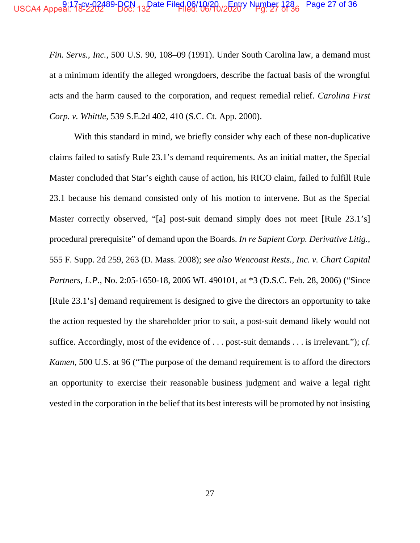# USCA4 Appeal: 13-2-2-2-2-489-BCN 13-Date Filed 06/10/2-0-12 Number 1286 Page 27 of 36

Fin. Servs., Inc., 500 U.S. 90, 108-09 (1991). Under South Carolina law, a demand must at a minimum identify the alleged wrongdoers, describe the factual basis of the wrongful acts and the harm caused to the corporation, and request remedial relief. Carolina First Corp. v. Whittle, 539 S.E.2d 402, 410 (S.C. Ct. App. 2000).

With this standard in mind, we briefly consider why each of these non-duplicative claims failed to satisfy Rule 23.1's demand requirements. As an initial matter, the Special Master concluded that Star's eighth cause of action, his RICO claim, failed to fulfill Rule 23.1 because his demand consisted only of his motion to intervene. But as the Special Master correctly observed, "[a] post-suit demand simply does not meet [Rule 23.1's] procedural prerequisite" of demand upon the Boards. In re Sapient Corp. Derivative Litig., 555 F. Supp. 2d 259, 263 (D. Mass. 2008); see also Wencoast Rests., Inc. v. Chart Capital Partners, L.P., No. 2:05-1650-18, 2006 WL 490101, at \*3 (D.S.C. Feb. 28, 2006) ("Since [Rule 23.1's] demand requirement is designed to give the directors an opportunity to take the action requested by the shareholder prior to suit, a post-suit demand likely would not suffice. Accordingly, most of the evidence of ... post-suit demands ... is irrelevant."); cf. Kamen, 500 U.S. at 96 ("The purpose of the demand requirement is to afford the directors an opportunity to exercise their reasonable business judgment and waive a legal right vested in the corporation in the belief that its best interests will be promoted by not insisting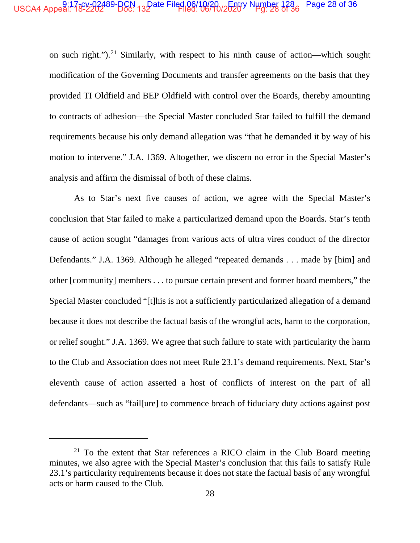#### USCA4 Appeal: 18-2222-289-BCN 132 ate Filed 06/10/20 2528/ Number 1286 Page 28 of 36

on such right.").<sup>21</sup> Similarly, with respect to his ninth cause of action—which sought modification of the Governing Documents and transfer agreements on the basis that they provided TI Oldfield and BEP Oldfield with control over the Boards, thereby amounting to contracts of adhesion—the Special Master concluded Star failed to fulfill the demand requirements because his only demand allegation was "that he demanded it by way of his motion to intervene." J.A. 1369. Altogether, we discern no error in the Special Master's analysis and affirm the dismissal of both of these claims.

As to Star's next five causes of action, we agree with the Special Master's conclusion that Star failed to make a particularized demand upon the Boards. Star's tenth cause of action sought "damages from various acts of ultra vires conduct of the director Defendants." J.A. 1369. Although he alleged "repeated demands . . . made by [him] and other [community] members . . . to pursue certain present and former board members," the Special Master concluded "[t]his is not a sufficiently particularized allegation of a demand because it does not describe the factual basis of the wrongful acts, harm to the corporation, or relief sought." J.A. 1369. We agree that such failure to state with particularity the harm to the Club and Association does not meet Rule 23.1's demand requirements. Next, Star's eleventh cause of action asserted a host of conflicts of interest on the part of all defendants—such as "fail [ure] to commence breach of fiduciary duty actions against post

<sup>&</sup>lt;sup>21</sup> To the extent that Star references a RICO claim in the Club Board meeting minutes, we also agree with the Special Master's conclusion that this fails to satisfy Rule 23.1's particularity requirements because it does not state the factual basis of any wrongful acts or harm caused to the Club.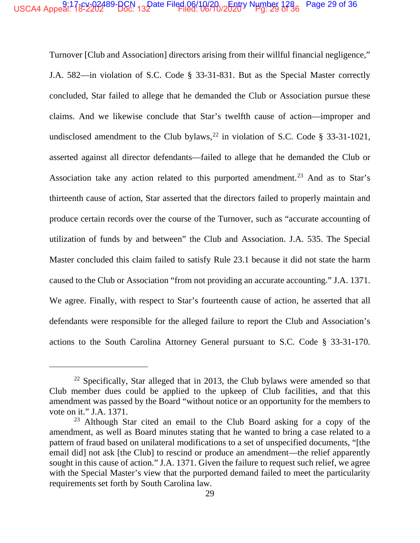# USCA4 Appeal: 17<sup>8</sup>°2202489-BCN 132ate Filed 06/10/20 /2520° Number 1286 Page 29 of 36

Turnover [Club and Association] directors arising from their willful financial negligence," J.A. 582—in violation of S.C. Code § 33-31-831. But as the Special Master correctly concluded, Star failed to allege that he demanded the Club or Association pursue these claims. And we likewise conclude that Star's twelfth cause of action—improper and undisclosed amendment to the Club bylaws,  $^{22}$  in violation of S.C. Code § 33-31-1021, asserted against all director defendants—failed to allege that he demanded the Club or Association take any action related to this purported amendment.<sup>23</sup> And as to Star's thirteenth cause of action, Star asserted that the directors failed to properly maintain and produce certain records over the course of the Turnover, such as "accurate accounting of utilization of funds by and between" the Club and Association. J.A. 535. The Special Master concluded this claim failed to satisfy Rule 23.1 because it did not state the harm caused to the Club or Association "from not providing an accurate accounting." J.A. 1371. We agree. Finally, with respect to Star's fourteenth cause of action, he asserted that all defendants were responsible for the alleged failure to report the Club and Association's actions to the South Carolina Attorney General pursuant to S.C. Code § 33-31-170.

 $22$  Specifically, Star alleged that in 2013, the Club bylaws were amended so that Club member dues could be applied to the upkeep of Club facilities, and that this amendment was passed by the Board "without notice or an opportunity for the members to vote on it." J.A. 1371.

<sup>&</sup>lt;sup>23</sup> Although Star cited an email to the Club Board asking for a copy of the amendment, as well as Board minutes stating that he wanted to bring a case related to a pattern of fraud based on unilateral modifications to a set of unspecified documents, "[the email did] not ask [the Club] to rescind or produce an amendment—the relief apparently sought in this cause of action." J.A. 1371. Given the failure to request such relief, we agree with the Special Master's view that the purported demand failed to meet the particularity requirements set forth by South Carolina law.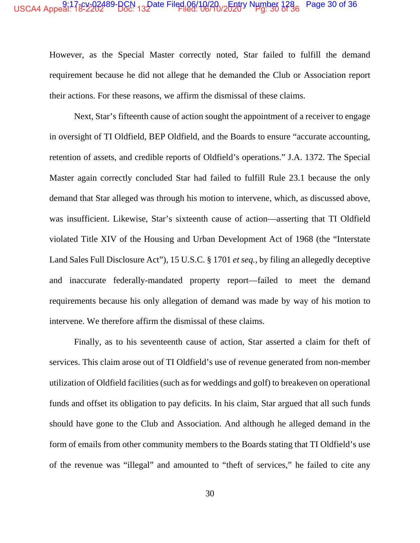### USCA4 Appeal: 17<sup>8</sup>°2202489-BCN 132ate Filed 06/10/20<sub>0</sub>620<sup>1</sup> Number 1286 Page 30 of 36

However, as the Special Master correctly noted, Star failed to fulfill the demand requirement because he did not allege that he demanded the Club or Association report their actions. For these reasons, we affirm the dismissal of these claims.

Next, Star's fifteenth cause of action sought the appointment of a receiver to engage in oversight of TI Oldfield, BEP Oldfield, and the Boards to ensure "accurate accounting, retention of assets, and credible reports of Oldfield's operations." J.A. 1372. The Special Master again correctly concluded Star had failed to fulfill Rule 23.1 because the only demand that Star alleged was through his motion to intervene, which, as discussed above, was insufficient. Likewise, Star's sixteenth cause of action—asserting that TI Oldfield violated Title XIV of the Housing and Urban Development Act of 1968 (the "Interstate Land Sales Full Disclosure Act"), 15 U.S.C. § 1701 *et seq.*, by filing an allegedly deceptive and inaccurate federally-mandated property report—failed to meet the demand requirements because his only allegation of demand was made by way of his motion to intervene. We therefore affirm the dismissal of these claims.

Finally, as to his seventeenth cause of action, Star asserted a claim for theft of services. This claim arose out of TI Oldfield's use of revenue generated from non-member utilization of Oldfield facilities (such as for weddings and golf) to breakeven on operational funds and offset its obligation to pay deficits. In his claim, Star argued that all such funds should have gone to the Club and Association. And although he alleged demand in the form of emails from other community members to the Boards stating that TI Oldfield's use of the revenue was "illegal" and amounted to "theft of services," he failed to cite any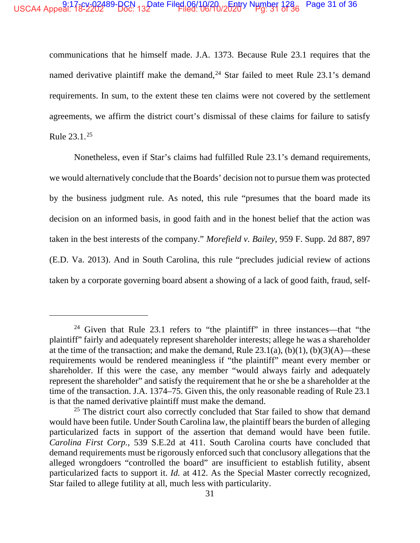## USCA4 Appeal: 17<sup>8</sup>°2202489-BCN 132ate Filed 06/10/20 /2520° Number 128 Page 31 of 36

communications that he himself made. J.A. 1373. Because Rule 23.1 requires that the named derivative plaintiff make the demand,  $24$  Star failed to meet Rule 23.1's demand requirements. In sum, to the extent these ten claims were not covered by the settlement agreements, we affirm the district court's dismissal of these claims for failure to satisfy Rule 23.1.<sup>25</sup>

Nonetheless, even if Star's claims had fulfilled Rule 23.1's demand requirements, we would alternatively conclude that the Boards' decision not to pursue them was protected by the business judgment rule. As noted, this rule "presumes that the board made its decision on an informed basis, in good faith and in the honest belief that the action was taken in the best interests of the company." *Morefield v. Bailey*, 959 F. Supp. 2d 887, 897 (E.D. Va. 2013). And in South Carolina, this rule "precludes judicial review of actions taken by a corporate governing board absent a showing of a lack of good faith, fraud, self-

<sup>&</sup>lt;sup>24</sup> Given that Rule 23.1 refers to "the plaintiff" in three instances—that "the plaintiff" fairly and adequately represent shareholder interests; allege he was a shareholder at the time of the transaction; and make the demand, Rule  $23.1(a)$ ,  $(b)(1)$ ,  $(b)(3)(A)$ —these requirements would be rendered meaningless if "the plaintiff" meant every member or shareholder. If this were the case, any member "would always fairly and adequately represent the shareholder" and satisfy the requirement that he or she be a shareholder at the time of the transaction. J.A. 1374–75. Given this, the only reasonable reading of Rule 23.1 is that the named derivative plaintiff must make the demand.

 $25$  The district court also correctly concluded that Star failed to show that demand would have been futile. Under South Carolina law, the plaintiff bears the burden of alleging particularized facts in support of the assertion that demand would have been futile. *Carolina First Corp.*, 539 S.E.2d at 411. South Carolina courts have concluded that demand requirements must be rigorously enforced such that conclusory allegations that the alleged wrongdoers "controlled the board" are insufficient to establish futility, absent particularized facts to support it. *Id.* at 412. As the Special Master correctly recognized, Star failed to allege futility at all, much less with particularity.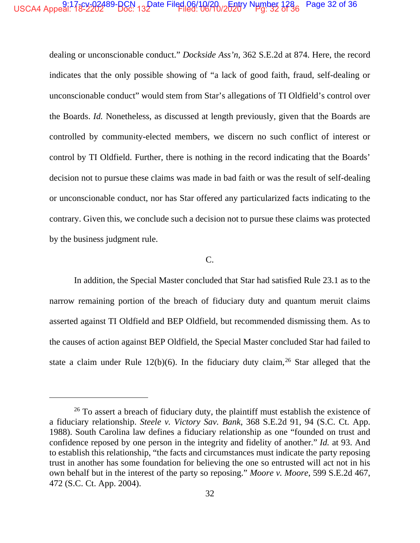#### USCA4 Appeal: 13-22222489-BCN 132 pate Filed 06/10/20 / 2520 N Number 1286 Page 32 of 36

dealing or unconscionable conduct." *Dockside Ass'n*, 362 S.E.2d at 874. Here, the record indicates that the only possible showing of "a lack of good faith, fraud, self-dealing or unconscionable conduct" would stem from Star's allegations of TI Oldfield's control over the Boards. *Id.* Nonetheless, as discussed at length previously, given that the Boards are controlled by community-elected members, we discern no such conflict of interest or control by TI Oldfield. Further, there is nothing in the record indicating that the Boards' decision not to pursue these claims was made in bad faith or was the result of self-dealing or unconscionable conduct, nor has Star offered any particularized facts indicating to the contrary. Given this, we conclude such a decision not to pursue these claims was protected by the business judgment rule.

 $C_{\cdot}$ 

In addition, the Special Master concluded that Star had satisfied Rule 23.1 as to the narrow remaining portion of the breach of fiduciary duty and quantum meruit claims asserted against TI Oldfield and BEP Oldfield, but recommended dismissing them. As to the causes of action against BEP Oldfield, the Special Master concluded Star had failed to state a claim under Rule 12(b)(6). In the fiduciary duty claim,  $26$  Star alleged that the

<sup>&</sup>lt;sup>26</sup> To assert a breach of fiduciary duty, the plaintiff must establish the existence of a fiduciary relationship. Steele v. Victory Sav. Bank, 368 S.E.2d 91, 94 (S.C. Ct. App. 1988). South Carolina law defines a fiduciary relationship as one "founded on trust and confidence reposed by one person in the integrity and fidelity of another." *Id.* at 93. And to establish this relationship, "the facts and circumstances must indicate the party reposing trust in another has some foundation for believing the one so entrusted will act not in his own behalf but in the interest of the party so reposing." Moore v. Moore, 599 S.E.2d 467, 472 (S.C. Ct. App. 2004).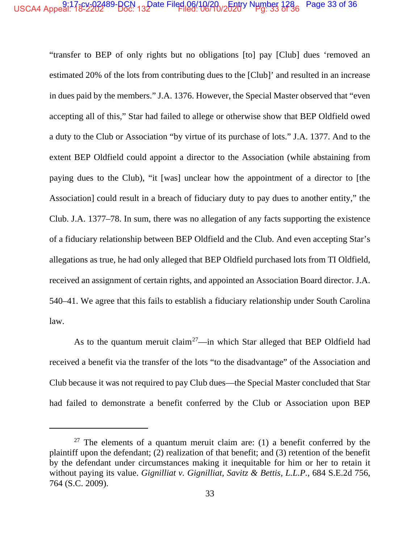#### USCA4 Appeal: 18-2202489-BCN 132 ate Filed 06/10/20-2520V Number 1286 Page 33 of 36

"transfer to BEP of only rights but no obligations [to] pay [Club] dues 'removed an estimated 20% of the lots from contributing dues to the [Club]' and resulted in an increase in dues paid by the members." J.A. 1376. However, the Special Master observed that "even" accepting all of this," Star had failed to allege or otherwise show that BEP Oldfield owed a duty to the Club or Association "by virtue of its purchase of lots." J.A. 1377. And to the extent BEP Oldfield could appoint a director to the Association (while abstaining from paying dues to the Club), "it [was] unclear how the appointment of a director to [the Association] could result in a breach of fiduciary duty to pay dues to another entity," the Club. J.A. 1377–78. In sum, there was no allegation of any facts supporting the existence of a fiduciary relationship between BEP Oldfield and the Club. And even accepting Star's allegations as true, he had only alleged that BEP Oldfield purchased lots from TI Oldfield, received an assignment of certain rights, and appointed an Association Board director. J.A. 540–41. We agree that this fails to establish a fiduciary relationship under South Carolina law.

As to the quantum meruit claim<sup>27</sup>—in which Star alleged that BEP Oldfield had received a benefit via the transfer of the lots "to the disadvantage" of the Association and Club because it was not required to pay Club dues—the Special Master concluded that Star had failed to demonstrate a benefit conferred by the Club or Association upon BEP

<sup>&</sup>lt;sup>27</sup> The elements of a quantum meruit claim are: (1) a benefit conferred by the plaintiff upon the defendant; (2) realization of that benefit; and (3) retention of the benefit by the defendant under circumstances making it inequitable for him or her to retain it without paying its value. Gignilliat v. Gignilliat, Savitz & Bettis, L.L.P., 684 S.E.2d 756, 764 (S.C. 2009).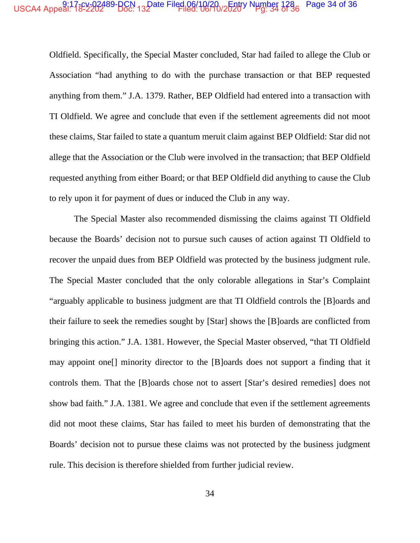## USCA4 Appeal: 13-2-2-2-2-489-BCN 13-Date Filed 06/10/2-0-12-5-2-07 Number 1286 Page 34 of 36

Oldfield. Specifically, the Special Master concluded, Star had failed to allege the Club or Association "had anything to do with the purchase transaction or that BEP requested anything from them." J.A. 1379. Rather, BEP Oldfield had entered into a transaction with TI Oldfield. We agree and conclude that even if the settlement agreements did not moot these claims, Star failed to state a quantum meruit claim against BEP Oldfield: Star did not allege that the Association or the Club were involved in the transaction; that BEP Oldfield requested anything from either Board; or that BEP Oldfield did anything to cause the Club to rely upon it for payment of dues or induced the Club in any way.

The Special Master also recommended dismissing the claims against TI Oldfield because the Boards' decision not to pursue such causes of action against TI Oldfield to recover the unpaid dues from BEP Oldfield was protected by the business judgment rule. The Special Master concluded that the only colorable allegations in Star's Complaint "arguably applicable to business judgment are that TI Oldfield controls the [B]oards and their failure to seek the remedies sought by [Star] shows the [B]oards are conflicted from bringing this action." J.A. 1381. However, the Special Master observed, "that TI Oldfield may appoint one<sup>[]</sup> minority director to the [B]oards does not support a finding that it controls them. That the [B]oards chose not to assert [Star's desired remedies] does not show bad faith." J.A. 1381. We agree and conclude that even if the settlement agreements did not moot these claims, Star has failed to meet his burden of demonstrating that the Boards' decision not to pursue these claims was not protected by the business judgment rule. This decision is therefore shielded from further judicial review.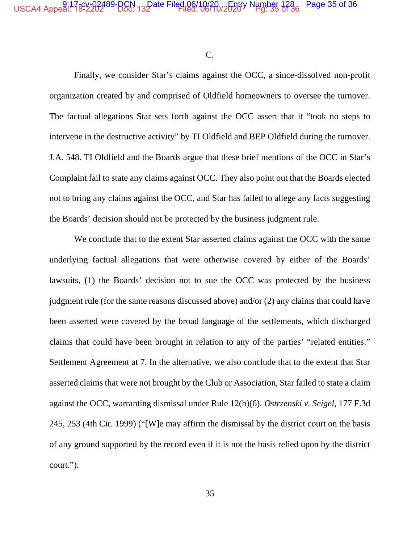C.

Finally, we consider Star's claims against the OCC, a since-dissolved non-profit organization created by and comprised of Oldfield homeowners to oversee the turnover. The factual allegations Star sets forth against the OCC assert that it "took no steps to intervene in the destructive activity" by TI Oldfield and BEP Oldfield during the turnover. J.A. 548. TI Oldfield and the Boards argue that these brief mentions of the OCC in Star's Complaint fail to state any claims against OCC. They also point out that the Boards elected not to bring any claims against the OCC, and Star has failed to allege any facts suggesting the Boards' decision should not be protected by the business judgment rule.

We conclude that to the extent Star asserted claims against the OCC with the same underlying factual allegations that were otherwise covered by either of the Boards' lawsuits, (1) the Boards' decision not to sue the OCC was protected by the business judgment rule (for the same reasons discussed above) and/or (2) any claims that could have been asserted were covered by the broad language of the settlements, which discharged claims that could have been brought in relation to any of the parties' "related entities." Settlement Agreement at 7. In the alternative, we also conclude that to the extent that Star asserted claims that were not brought by the Club or Association, Star failed to state a claim against the OCC, warranting dismissal under Rule 12(b)(6). *Ostrzenski v. Seigel*, 177 F.3d 245, 253 (4th Cir. 1999) ("[W]e may affirm the dismissal by the district court on the basis of any ground supported by the record even if it is not the basis relied upon by the district court.").